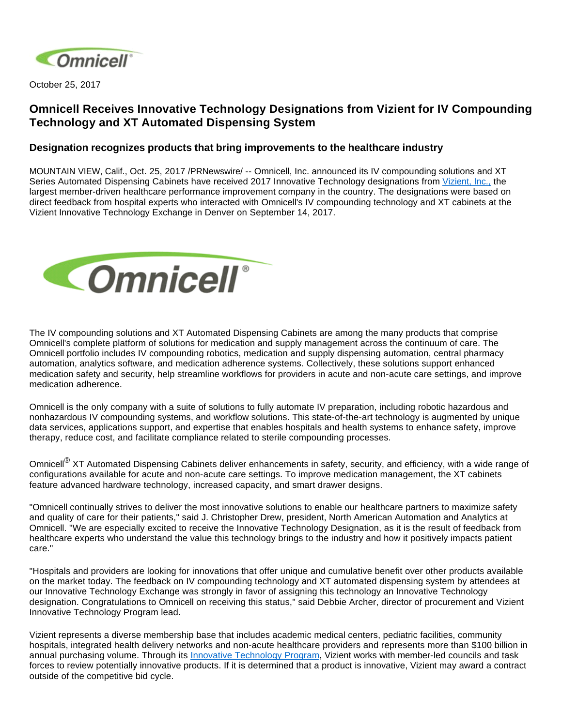

October 25, 2017

## **Omnicell Receives Innovative Technology Designations from Vizient for IV Compounding Technology and XT Automated Dispensing System**

## **Designation recognizes products that bring improvements to the healthcare industry**

MOUNTAIN VIEW, Calif., Oct. 25, 2017 /PRNewswire/ -- Omnicell, Inc. announced its IV compounding solutions and XT Series Automated Dispensing Cabinets have received 2017 Innovative Technology designations from [Vizient, Inc.,](http://www.vizientinc.com/) the largest member-driven healthcare performance improvement company in the country. The designations were based on direct feedback from hospital experts who interacted with Omnicell's IV compounding technology and XT cabinets at the Vizient Innovative Technology Exchange in Denver on September 14, 2017.



The IV compounding solutions and XT Automated Dispensing Cabinets are among the many products that comprise Omnicell's complete platform of solutions for medication and supply management across the continuum of care. The Omnicell portfolio includes IV compounding robotics, medication and supply dispensing automation, central pharmacy automation, analytics software, and medication adherence systems. Collectively, these solutions support enhanced medication safety and security, help streamline workflows for providers in acute and non-acute care settings, and improve medication adherence.

Omnicell is the only company with a suite of solutions to fully automate IV preparation, including robotic hazardous and nonhazardous IV compounding systems, and workflow solutions. This state-of-the-art technology is augmented by unique data services, applications support, and expertise that enables hospitals and health systems to enhance safety, improve therapy, reduce cost, and facilitate compliance related to sterile compounding processes.

Omnicell<sup>®</sup> XT Automated Dispensing Cabinets deliver enhancements in safety, security, and efficiency, with a wide range of configurations available for acute and non-acute care settings. To improve medication management, the XT cabinets feature advanced hardware technology, increased capacity, and smart drawer designs.

"Omnicell continually strives to deliver the most innovative solutions to enable our healthcare partners to maximize safety and quality of care for their patients," said J. Christopher Drew, president, North American Automation and Analytics at Omnicell. "We are especially excited to receive the Innovative Technology Designation, as it is the result of feedback from healthcare experts who understand the value this technology brings to the industry and how it positively impacts patient care."

"Hospitals and providers are looking for innovations that offer unique and cumulative benefit over other products available on the market today. The feedback on IV compounding technology and XT automated dispensing system by attendees at our Innovative Technology Exchange was strongly in favor of assigning this technology an Innovative Technology designation. Congratulations to Omnicell on receiving this status," said Debbie Archer, director of procurement and Vizient Innovative Technology Program lead.

Vizient represents a diverse membership base that includes academic medical centers, pediatric facilities, community hospitals, integrated health delivery networks and non-acute healthcare providers and represents more than \$100 billion in annual purchasing volume. Through its [Innovative Technology Program](https://www.vizientinc.com/Our-solutions/Supply-Chain-Solutions/Supply-Chain-Programs/Innovative-Technology-Program), Vizient works with member-led councils and task forces to review potentially innovative products. If it is determined that a product is innovative, Vizient may award a contract outside of the competitive bid cycle.